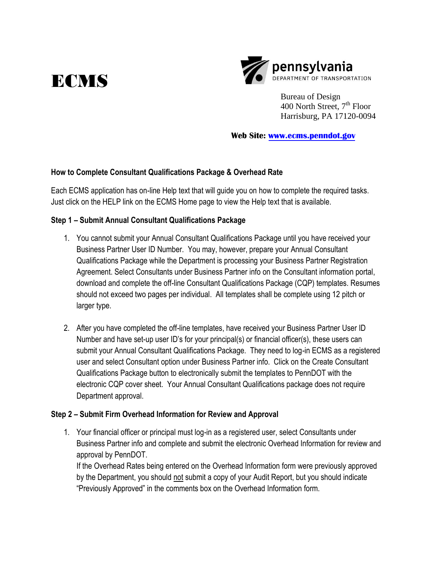



Bureau of Design  $400$  North Street,  $7<sup>th</sup>$  Floor Harrisburg, PA 17120-0094

**Web Site: www.[ecms.penndot.gov](http://www.ecms.penndot.gov)**

### **How to Complete Consultant Qualifications Package & Overhead Rate**

Each ECMS application has on-line Help text that will guide you on how to complete the required tasks. Just click on the HELP link on the ECMS Home page to view the Help text that is available.

## **Step 1 – Submit Annual Consultant Qualifications Package**

- 1. You cannot submit your Annual Consultant Qualifications Package until you have received your Business Partner User ID Number. You may, however, prepare your Annual Consultant Qualifications Package while the Department is processing your Business Partner Registration Agreement. Select Consultants under Business Partner info on the Consultant information portal, download and complete the off-line Consultant Qualifications Package (CQP) templates. Resumes should not exceed two pages per individual. All templates shall be complete using 12 pitch or larger type.
- 2. After you have completed the off-line templates, have received your Business Partner User ID Number and have set-up user ID's for your principal(s) or financial officer(s), these users can submit your Annual Consultant Qualifications Package. They need to log-in ECMS as a registered user and select Consultant option under Business Partner info. Click on the Create Consultant Qualifications Package button to electronically submit the templates to PennDOT with the electronic CQP cover sheet. Your Annual Consultant Qualifications package does not require Department approval.

### **Step 2 – Submit Firm Overhead Information for Review and Approval**

1. Your financial officer or principal must log-in as a registered user, select Consultants under Business Partner info and complete and submit the electronic Overhead Information for review and approval by PennDOT.

If the Overhead Rates being entered on the Overhead Information form were previously approved by the Department, you should not submit a copy of your Audit Report, but you should indicate "Previously Approved" in the comments box on the Overhead Information form.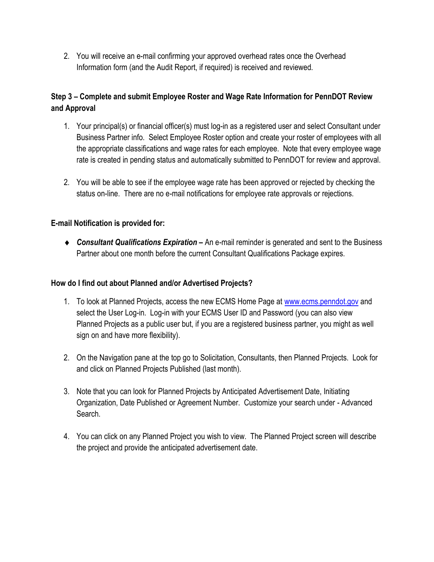2. You will receive an e-mail confirming your approved overhead rates once the Overhead Information form (and the Audit Report, if required) is received and reviewed.

# **Step 3 – Complete and submit Employee Roster and Wage Rate Information for PennDOT Review and Approval**

- 1. Your principal(s) or financial officer(s) must log-in as a registered user and select Consultant under Business Partner info. Select Employee Roster option and create your roster of employees with all the appropriate classifications and wage rates for each employee. Note that every employee wage rate is created in pending status and automatically submitted to PennDOT for review and approval.
- 2. You will be able to see if the employee wage rate has been approved or rejected by checking the status on-line. There are no e-mail notifications for employee rate approvals or rejections.

## **E-mail Notification is provided for:**

*Consultant Qualifications Expiration* **–** An e-mail reminder is generated and sent to the Business Partner about one month before the current Consultant Qualifications Package expires.

### **How do I find out about Planned and/or Advertised Projects?**

- 1. To look at Planned Projects, access the new ECMS Home Page at www.[ecms.penndot.gov](http://www.ecms.penndot.gov) and select the User Log-in. Log-in with your ECMS User ID and Password (you can also view Planned Projects as a public user but, if you are a registered business partner, you might as well sign on and have more flexibility).
- 2. On the Navigation pane at the top go to Solicitation, Consultants, then Planned Projects. Look for and click on Planned Projects Published (last month).
- 3. Note that you can look for Planned Projects by Anticipated Advertisement Date, Initiating Organization, Date Published or Agreement Number. Customize your search under - Advanced Search.
- 4. You can click on any Planned Project you wish to view. The Planned Project screen will describe the project and provide the anticipated advertisement date.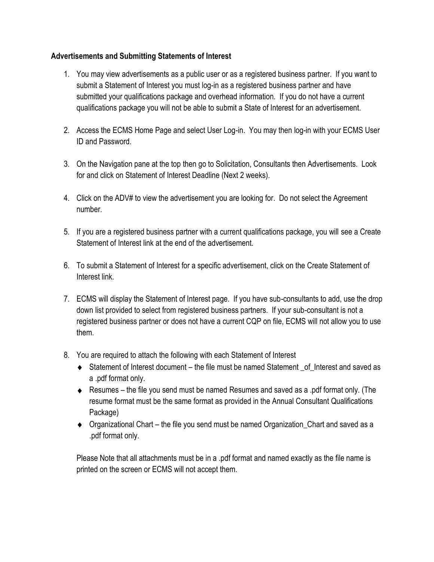## **Advertisements and Submitting Statements of Interest**

- 1. You may view advertisements as a public user or as a registered business partner. If you want to submit a Statement of Interest you must log-in as a registered business partner and have submitted your qualifications package and overhead information. If you do not have a current qualifications package you will not be able to submit a State of Interest for an advertisement.
- 2. Access the ECMS Home Page and select User Log-in. You may then log-in with your ECMS User ID and Password.
- 3. On the Navigation pane at the top then go to Solicitation, Consultants then Advertisements. Look for and click on Statement of Interest Deadline (Next 2 weeks).
- 4. Click on the ADV# to view the advertisement you are looking for. Do not select the Agreement number.
- 5. If you are a registered business partner with a current qualifications package, you will see a Create Statement of Interest link at the end of the advertisement.
- 6. To submit a Statement of Interest for a specific advertisement, click on the Create Statement of Interest link.
- 7. ECMS will display the Statement of Interest page. If you have sub-consultants to add, use the drop down list provided to select from registered business partners. If your sub-consultant is not a registered business partner or does not have a current CQP on file, ECMS will not allow you to use them.
- 8. You are required to attach the following with each Statement of Interest
	- $\triangleleft$  Statement of Interest document the file must be named Statement of Interest and saved as a .pdf format only.
	- Resumes the file you send must be named Resumes and saved as a .pdf format only. (The resume format must be the same format as provided in the Annual Consultant Qualifications Package)
	- ◆ Organizational Chart the file you send must be named Organization\_Chart and saved as a .pdf format only.

Please Note that all attachments must be in a .pdf format and named exactly as the file name is printed on the screen or ECMS will not accept them.